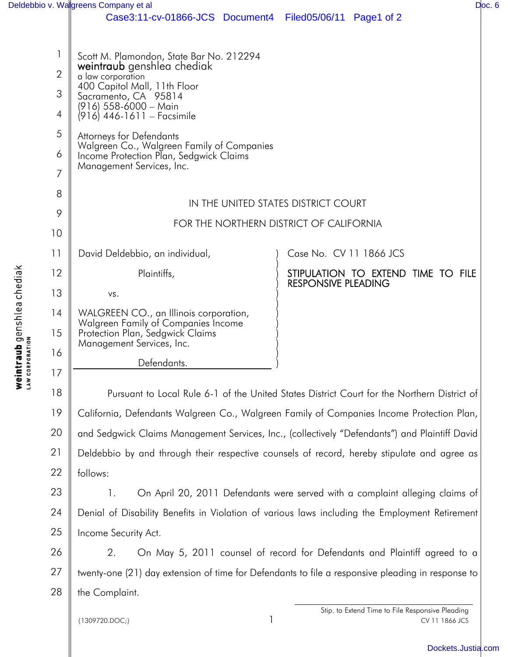|                                                |                               | Deldebbio v. Walgreens Company et al                                                                                                                                                                                                            |                                                                  | Doc. 6 |
|------------------------------------------------|-------------------------------|-------------------------------------------------------------------------------------------------------------------------------------------------------------------------------------------------------------------------------------------------|------------------------------------------------------------------|--------|
|                                                |                               | Case3:11-cv-01866-JCS Document4 Filed05/06/11 Page1 of 2                                                                                                                                                                                        |                                                                  |        |
|                                                | $\overline{2}$<br>3<br>4<br>5 | Scott M. Plamondon, State Bar No. 212294<br>weintraub genshlea chediak<br>a law corporation<br>400 Capitol Mall, 11th Floor<br>Sacramento, CA 95814<br>$(916)$ 558-6000 - Main<br>(916) 446-1611 – Facsimile<br><b>Attorneys for Defendants</b> |                                                                  |        |
|                                                | 6                             | Walgreen Co., Walgreen Family of Companies<br>Income Protection Plan, Sedgwick Claims<br>Management Services, Inc.                                                                                                                              |                                                                  |        |
|                                                | $\overline{7}$                |                                                                                                                                                                                                                                                 |                                                                  |        |
|                                                | 8                             | IN THE UNITED STATES DISTRICT COURT<br>FOR THE NORTHERN DISTRICT OF CALIFORNIA                                                                                                                                                                  |                                                                  |        |
|                                                | 9<br>10                       |                                                                                                                                                                                                                                                 |                                                                  |        |
|                                                | 11                            | David Deldebbio, an individual,                                                                                                                                                                                                                 | Case No. CV 11 1866 JCS                                          |        |
|                                                | 12                            | Plaintiffs,                                                                                                                                                                                                                                     | STIPULATION TO EXTEND TIME TO FILE<br><b>RESPONSIVE PLEADING</b> |        |
|                                                | 13                            | VS.                                                                                                                                                                                                                                             |                                                                  |        |
|                                                | 14                            | WALGREEN CO., an Illinois corporation,<br>Walgreen Family of Companies Income                                                                                                                                                                   |                                                                  |        |
| traub genshlea chediak<br><sup>RPORATION</sup> | 15<br>16                      | Protection Plan, Sedgwick Claims<br>Management Services, Inc.                                                                                                                                                                                   |                                                                  |        |
|                                                |                               | Defendants.                                                                                                                                                                                                                                     |                                                                  |        |

18 19 20 21 22 Pursuant to Local Rule 6-1 of the United States District Court for the Northern District of California, Defendants Walgreen Co., Walgreen Family of Companies Income Protection Plan, and Sedgwick Claims Management Services, Inc., (collectively "Defendants") and Plaintiff David Deldebbio by and through their respective counsels of record, hereby stipulate and agree as follows:

23 24 25 1. On April 20, 2011 Defendants were served with a complaint alleging claims of Denial of Disability Benefits in Violation of various laws including the Employment Retirement Income Security Act.

26 27 28 2. On May 5, 2011 counsel of record for Defendants and Plaintiff agreed to a twenty-one (21) day extension of time for Defendants to file a responsive pleading in response to the Complaint.

{1309720.DOC;} 1

17